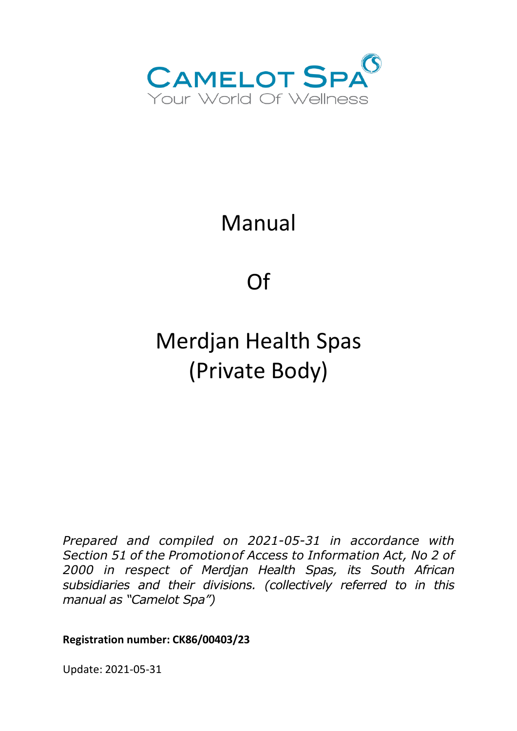

# Manual

Of

# Merdjan Health Spas (Private Body)

*Prepared and compiled on 2021-05-31 in accordance with Section 51 of the Promotionof Access to Information Act, No 2 of 2000 in respect of Merdjan Health Spas, its South African subsidiaries and their divisions. (collectively referred to in this manual as "Camelot Spa")*

**Registration number: CK86/00403/23**

Update: 2021-05-31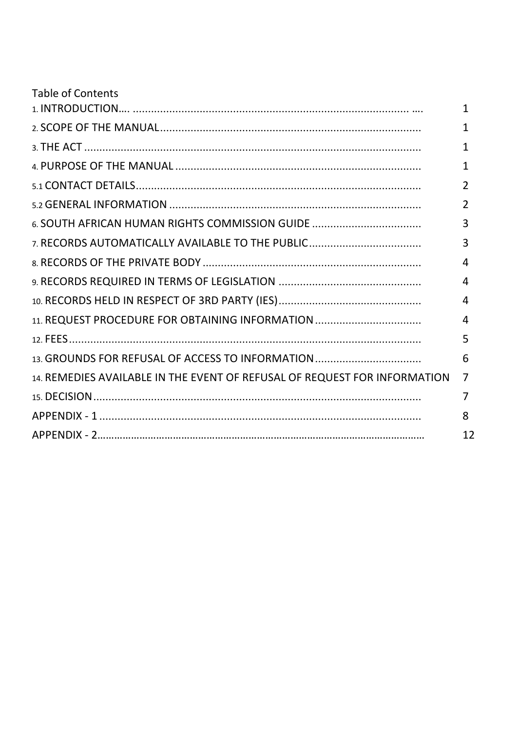| <b>Table of Contents</b>                                                  |                |
|---------------------------------------------------------------------------|----------------|
|                                                                           | 1              |
|                                                                           | 1              |
|                                                                           | 1              |
|                                                                           | 1              |
|                                                                           | $\overline{2}$ |
|                                                                           | $\overline{2}$ |
| 6. SOUTH AFRICAN HUMAN RIGHTS COMMISSION GUIDE                            | 3              |
| 7. RECORDS AUTOMATICALLY AVAILABLE TO THE PUBLIC                          | 3              |
|                                                                           | 4              |
|                                                                           | 4              |
|                                                                           | 4              |
| 11. REQUEST PROCEDURE FOR OBTAINING INFORMATION                           | 4              |
|                                                                           | 5              |
|                                                                           | 6              |
| 14. REMEDIES AVAILABLE IN THE EVENT OF REFUSAL OF REQUEST FOR INFORMATION | $\overline{7}$ |
|                                                                           | 7              |
|                                                                           | 8              |
|                                                                           | 12             |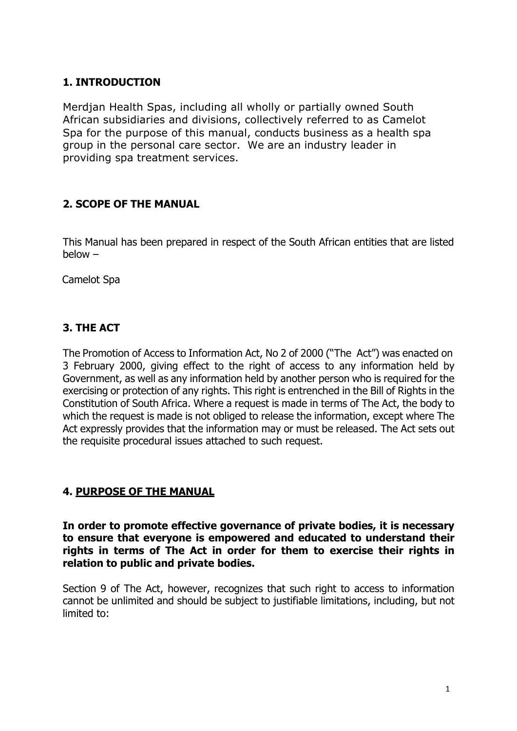# **1. INTRODUCTION**

Merdjan Health Spas, including all wholly or partially owned South African subsidiaries and divisions, collectively referred to as Camelot Spa for the purpose of this manual, conducts business as a health spa group in the personal care sector. We are an industry leader in providing spa treatment services.

# **2. SCOPE OF THE MANUAL**

This Manual has been prepared in respect of the South African entities that are listed below –

Camelot Spa

# **3. THE ACT**

The Promotion of Access to Information Act, No 2 of 2000 ("The Act") was enacted on 3 February 2000, giving effect to the right of access to any information held by Government, as well as any information held by another person who is required for the exercising or protection of any rights. This right is entrenched in the Bill of Rights in the Constitution of South Africa. Where a request is made in terms of The Act, the body to which the request is made is not obliged to release the information, except where The Act expressly provides that the information may or must be released. The Act sets out the requisite procedural issues attached to such request.

# **4. PURPOSE OF THE MANUAL**

**In order to promote effective governance of private bodies, it is necessary to ensure that everyone is empowered and educated to understand their rights in terms of The Act in order for them to exercise their rights in relation to public and private bodies.**

Section 9 of The Act, however, recognizes that such right to access to information cannot be unlimited and should be subject to justifiable limitations, including, but not limited to: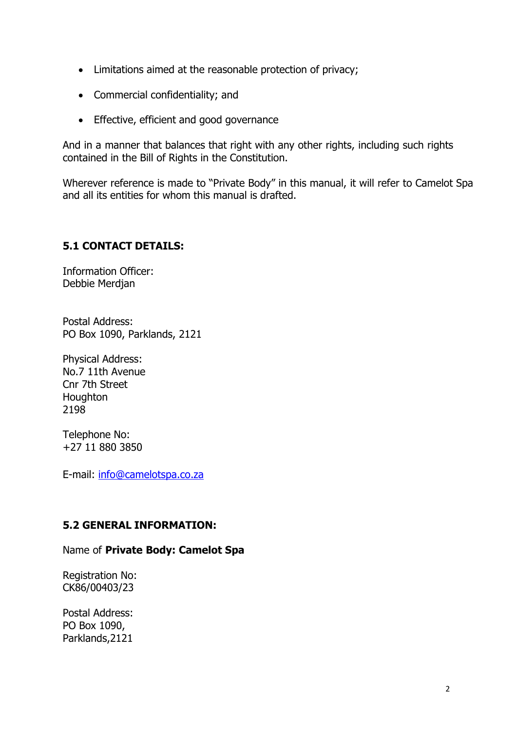- Limitations aimed at the reasonable protection of privacy;
- Commercial confidentiality; and
- Effective, efficient and good governance

And in a manner that balances that right with any other rights, including such rights contained in the Bill of Rights in the Constitution.

Wherever reference is made to "Private Body" in this manual, it will refer to Camelot Spa and all its entities for whom this manual is drafted.

# **5.1 CONTACT DETAILS:**

Information Officer: Debbie Merdjan

Postal Address: PO Box 1090, Parklands, 2121

Physical Address: No.7 11th Avenue Cnr 7th Street **Houghton** 2198

Telephone No: +27 11 880 3850

E-mail: info@camelotspa.co.za

# **5.2 GENERAL INFORMATION:**

#### Name of **Private Body: Camelot Spa**

Registration No: CK86/00403/23

Postal Address: PO Box 1090, Parklands,2121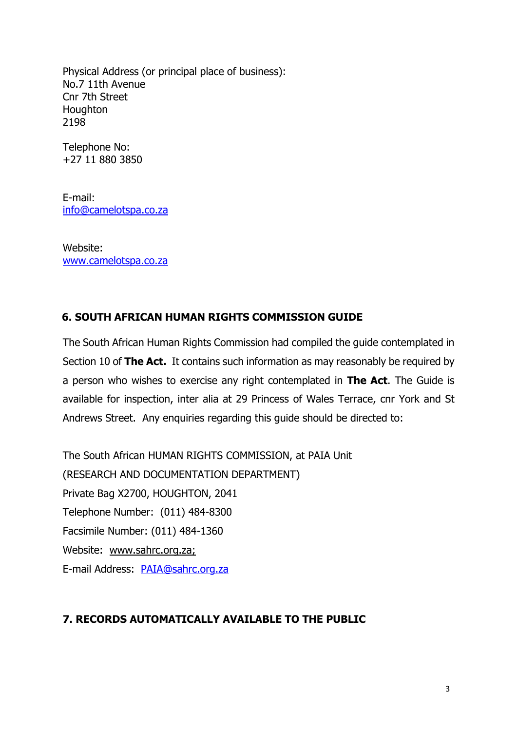Physical Address (or principal place of business): No.7 11th Avenue Cnr 7th Street Houghton 2198

Telephone No: +27 11 880 3850

E-mail: info@camelotspa.co.za

Website: www.camelotspa.co.za

# **6. SOUTH AFRICAN HUMAN RIGHTS COMMISSION GUIDE**

The South African Human Rights Commission had compiled the guide contemplated in Section 10 of **The Act.** It contains such information as may reasonably be required by a person who wishes to exercise any right contemplated in **The Act**. The Guide is available for inspection, inter alia at 29 Princess of Wales Terrace, cnr York and St Andrews Street. Any enquiries regarding this guide should be directed to:

The South African HUMAN RIGHTS COMMISSION, at PAIA Unit (RESEARCH AND DOCUMENTATION DEPARTMENT) Private Bag X2700, HOUGHTON, 2041 Telephone Number: (011) 484-8300 Facsimile Number: (011) 484-1360 Website: www.sahrc.org.za; E-mail Address: PAIA@sahrc.org.za

# **7. RECORDS AUTOMATICALLY AVAILABLE TO THE PUBLIC**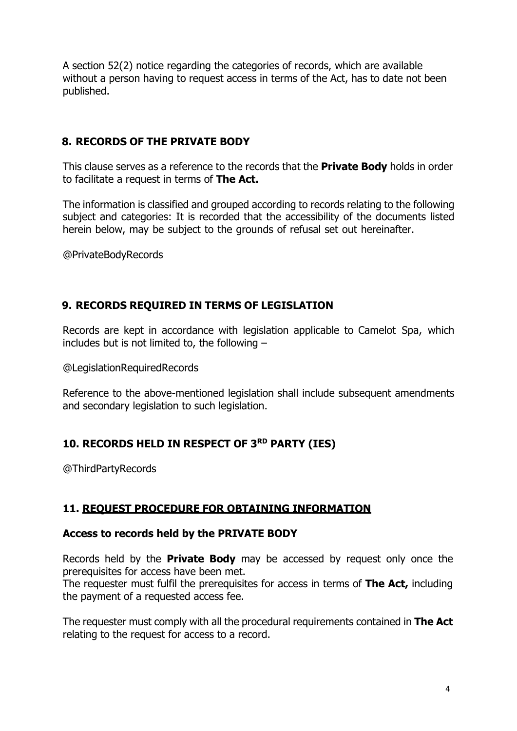A section 52(2) notice regarding the categories of records, which are available without a person having to request access in terms of the Act, has to date not been published.

# **8. RECORDS OF THE PRIVATE BODY**

This clause serves as a reference to the records that the **Private Body** holds in order to facilitate a request in terms of **The Act.**

The information is classified and grouped according to records relating to the following subject and categories: It is recorded that the accessibility of the documents listed herein below, may be subject to the grounds of refusal set out hereinafter.

@PrivateBodyRecords

# **9. RECORDS REQUIRED IN TERMS OF LEGISLATION**

Records are kept in accordance with legislation applicable to Camelot Spa, which includes but is not limited to, the following –

@LegislationRequiredRecords

Reference to the above-mentioned legislation shall include subsequent amendments and secondary legislation to such legislation.

# **10. RECORDS HELD IN RESPECT OF 3RD PARTY (IES)**

@ThirdPartyRecords

# **11. REQUEST PROCEDURE FOR OBTAINING INFORMATION**

#### **Access to records held by the PRIVATE BODY**

Records held by the **Private Body** may be accessed by request only once the prerequisites for access have been met.

The requester must fulfil the prerequisites for access in terms of **The Act,** including the payment of a requested access fee.

The requester must comply with all the procedural requirements contained in **The Act** relating to the request for access to a record.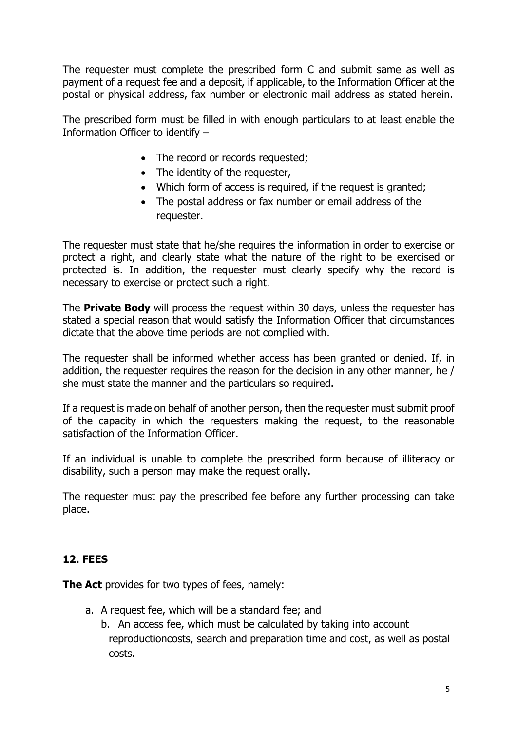The requester must complete the prescribed form C and submit same as well as payment of a request fee and a deposit, if applicable, to the Information Officer at the postal or physical address, fax number or electronic mail address as stated herein.

The prescribed form must be filled in with enough particulars to at least enable the Information Officer to identify –

- The record or records requested;
- The identity of the requester,
- Which form of access is required, if the request is granted;
- The postal address or fax number or email address of the requester.

The requester must state that he/she requires the information in order to exercise or protect a right, and clearly state what the nature of the right to be exercised or protected is. In addition, the requester must clearly specify why the record is necessary to exercise or protect such a right.

The **Private Body** will process the request within 30 days, unless the requester has stated a special reason that would satisfy the Information Officer that circumstances dictate that the above time periods are not complied with.

The requester shall be informed whether access has been granted or denied. If, in addition, the requester requires the reason for the decision in any other manner, he / she must state the manner and the particulars so required.

If a request is made on behalf of another person, then the requester must submit proof of the capacity in which the requesters making the request, to the reasonable satisfaction of the Information Officer.

If an individual is unable to complete the prescribed form because of illiteracy or disability, such a person may make the request orally.

The requester must pay the prescribed fee before any further processing can take place.

# **12. FEES**

**The Act** provides for two types of fees, namely:

- a. A request fee, which will be a standard fee; and
	- b. An access fee, which must be calculated by taking into account reproductioncosts, search and preparation time and cost, as well as postal costs.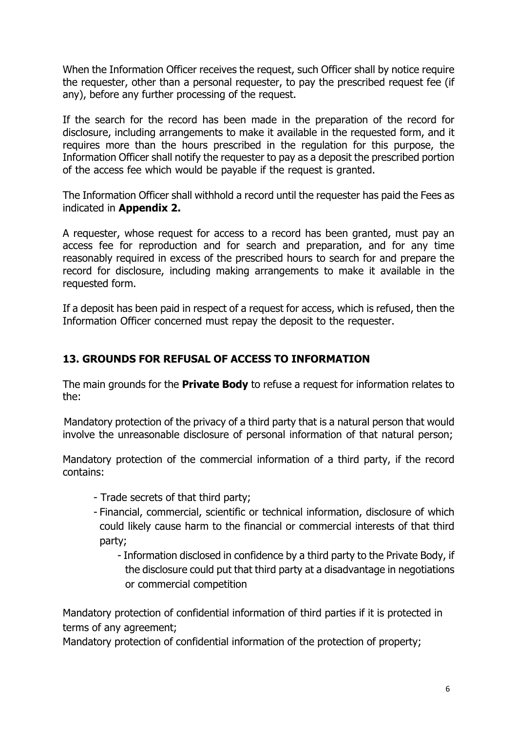When the Information Officer receives the request, such Officer shall by notice require the requester, other than a personal requester, to pay the prescribed request fee (if any), before any further processing of the request.

If the search for the record has been made in the preparation of the record for disclosure, including arrangements to make it available in the requested form, and it requires more than the hours prescribed in the regulation for this purpose, the Information Officer shall notify the requester to pay as a deposit the prescribed portion of the access fee which would be payable if the request is granted.

The Information Officer shall withhold a record until the requester has paid the Fees as indicated in **Appendix 2.**

A requester, whose request for access to a record has been granted, must pay an access fee for reproduction and for search and preparation, and for any time reasonably required in excess of the prescribed hours to search for and prepare the record for disclosure, including making arrangements to make it available in the requested form.

If a deposit has been paid in respect of a request for access, which is refused, then the Information Officer concerned must repay the deposit to the requester.

# **13. GROUNDS FOR REFUSAL OF ACCESS TO INFORMATION**

The main grounds for the **Private Body** to refuse a request for information relates to the:

Mandatory protection of the privacy of a third party that is a natural person that would involve the unreasonable disclosure of personal information of that natural person;

Mandatory protection of the commercial information of a third party, if the record contains:

- Trade secrets of that third party;
- Financial, commercial, scientific or technical information, disclosure of which could likely cause harm to the financial or commercial interests of that third party;
	- Information disclosed in confidence by a third party to the Private Body, if the disclosure could put that third party at a disadvantage in negotiations or commercial competition

Mandatory protection of confidential information of third parties if it is protected in terms of any agreement;

Mandatory protection of confidential information of the protection of property;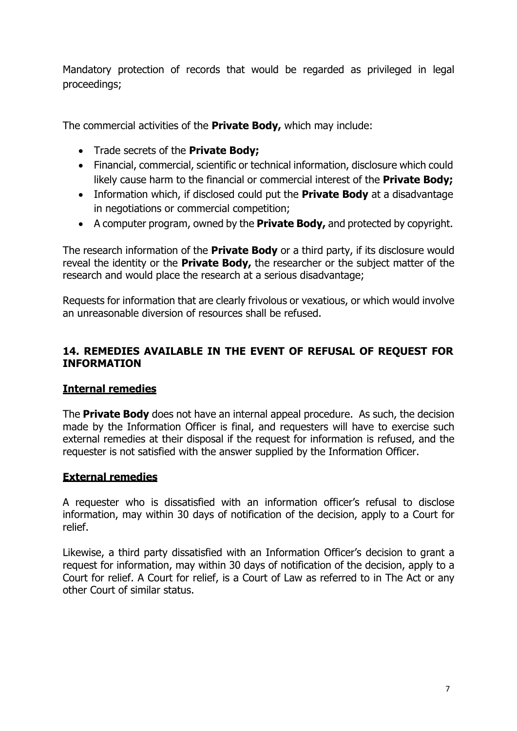Mandatory protection of records that would be regarded as privileged in legal proceedings;

The commercial activities of the **Private Body,** which may include:

- Trade secrets of the **Private Body;**
- Financial, commercial, scientific or technical information, disclosure which could likely cause harm to the financial or commercial interest of the **Private Body;**
- Information which, if disclosed could put the **Private Body** at a disadvantage in negotiations or commercial competition;
- A computer program, owned by the **Private Body,** and protected by copyright.

The research information of the **Private Body** or a third party, if its disclosure would reveal the identity or the **Private Body,** the researcher or the subject matter of the research and would place the research at a serious disadvantage;

Requests for information that are clearly frivolous or vexatious, or which would involve an unreasonable diversion of resources shall be refused.

## **14. REMEDIES AVAILABLE IN THE EVENT OF REFUSAL OF REQUEST FOR INFORMATION**

# **Internal remedies**

The **Private Body** does not have an internal appeal procedure. As such, the decision made by the Information Officer is final, and requesters will have to exercise such external remedies at their disposal if the request for information is refused, and the requester is not satisfied with the answer supplied by the Information Officer.

#### **External remedies**

A requester who is dissatisfied with an information officer's refusal to disclose information, may within 30 days of notification of the decision, apply to a Court for relief.

Likewise, a third party dissatisfied with an Information Officer's decision to grant a request for information, may within 30 days of notification of the decision, apply to a Court for relief. A Court for relief, is a Court of Law as referred to in The Act or any other Court of similar status.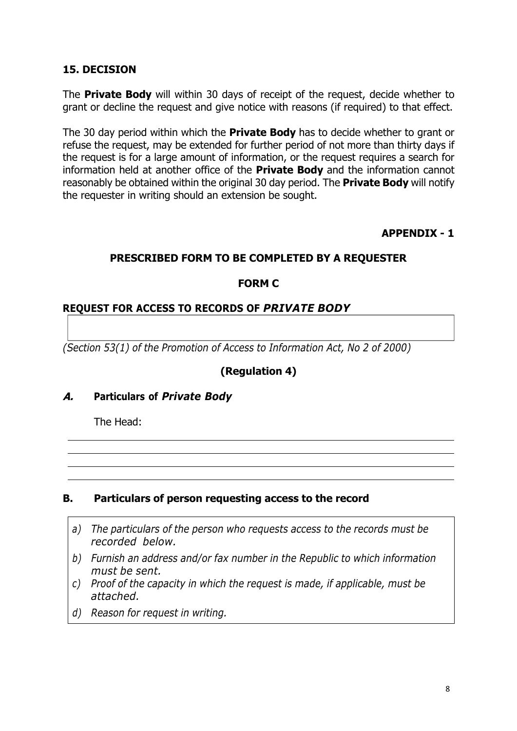## **15. DECISION**

The **Private Body** will within 30 days of receipt of the request, decide whether to grant or decline the request and give notice with reasons (if required) to that effect.

The 30 day period within which the **Private Body** has to decide whether to grant or refuse the request, may be extended for further period of not more than thirty days if the request is for a large amount of information, or the request requires a search for information held at another office of the **Private Body** and the information cannot reasonably be obtained within the original 30 day period. The **Private Body** will notify the requester in writing should an extension be sought.

#### **APPENDIX - 1**

#### **PRESCRIBED FORM TO BE COMPLETED BY A REQUESTER**

#### **FORM C**

#### **REQUEST FOR ACCESS TO RECORDS OF** *PRIVATE BODY*

*(Section 53(1) of the Promotion of Access to Information Act, No 2 of 2000)*

#### **(Regulation 4)**

#### **A. Particulars of** *Private Body*

The Head:

#### **B. Particulars of person requesting access to the record**

- *a) The particulars of the person who requests access to the records must be recorded below.*
- *b) Furnish an address and/or fax number in the Republic to which information must be sent.*
- *c) Proof of the capacity in which the request is made, if applicable, must be attached.*
- *d) Reason for request in writing.*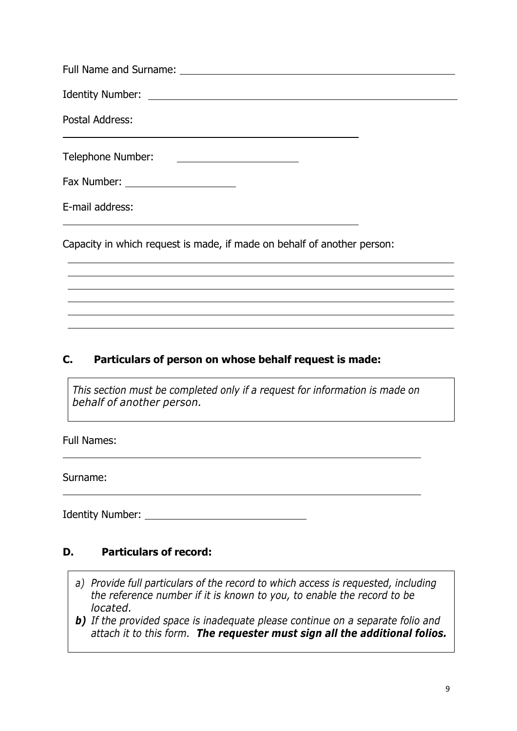| Postal Address:                                                        |  |
|------------------------------------------------------------------------|--|
| Telephone Number:<br><u> 1989 - Andrea Brand, amerikansk politik (</u> |  |
| Fax Number: _______________________                                    |  |
| E-mail address:                                                        |  |

Capacity in which request is made, if made on behalf of another person:

# **C. Particulars of person on whose behalf request is made:**

*This section must be completed only if a request for information is made on behalf of another person.*

Full Names:

Surname:

Identity Number: The contract of the contract of the contract of the contract of the contract of the contract of the contract of the contract of the contract of the contract of the contract of the contract of the contract

# **D. Particulars of record:**

- *a) Provide full particulars of the record to which access is requested, including the reference number if it is known to you, to enable the record to be located.*
- *b) If the provided space is inadequate please continue on a separate folio and attach it to this form. The requester must sign all the additional folios.*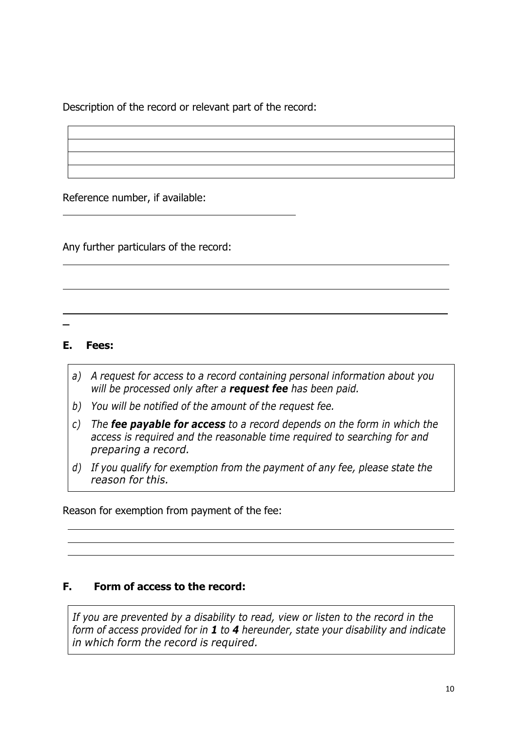Description of the record or relevant part of the record:

Reference number, if available:

Any further particulars of the record:

**\_**

## **E. Fees:**

- *a) A request for access to a record containing personal information about you will be processed only after a request fee has been paid.*
- *b) You will be notified of the amount of the request fee.*
- *c) The fee payable for access to a record depends on the form in which the access is required and the reasonable time required to searching for and preparing a record.*
- *d) If you qualify for exemption from the payment of any fee, please state the reason for this.*

Reason for exemption from payment of the fee:

# **F. Form of access to the record:**

*If you are prevented by a disability to read, view or listen to the record in the form of access provided for in 1 to 4 hereunder, state your disability and indicate in which form the record is required.*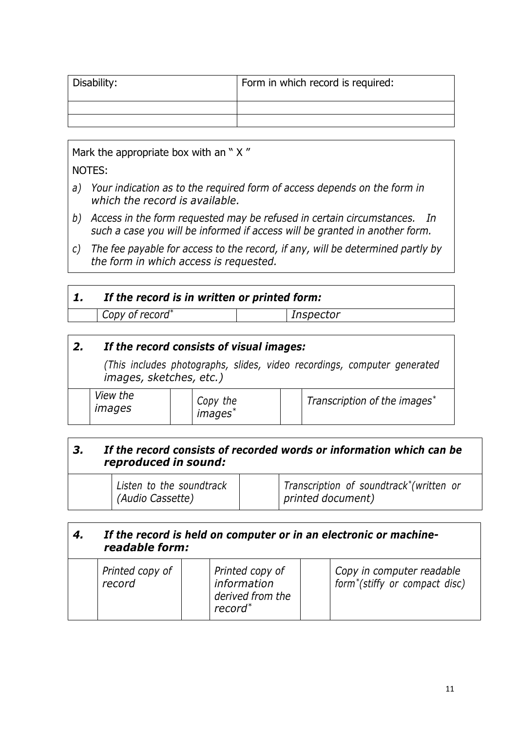| Disability: | Form in which record is required: |
|-------------|-----------------------------------|
|             |                                   |
|             |                                   |

Mark the appropriate box with an "X" NOTES:

- *a) Your indication as to the required form of access depends on the form in which the record is available.*
- *b) Access in the form requested may be refused in certain circumstances. In such a case you will be informed if access will be granted in another form.*
- *c) The fee payable for access to the record, if any, will be determined partly by the form in which access is requested.*

| If the record is in written or printed form: |           |  |
|----------------------------------------------|-----------|--|
| Copy of record <sup>*</sup>                  | Inspector |  |

# *2. If the record consists of visual images:*

*(This includes photographs, slides, video recordings, computer generated images, sketches, etc.)*

|  | <i>View the</i><br>images |  | Copy the<br><i>images</i> |  | Transcription of the images <sup>*</sup> |
|--|---------------------------|--|---------------------------|--|------------------------------------------|
|--|---------------------------|--|---------------------------|--|------------------------------------------|

# *3. If the record consists of recorded words or information which can be reproduced in sound:*

| Listen to the soundtrack | Transcription of soundtrack <sup>*</sup> (written or |
|--------------------------|------------------------------------------------------|
| (Audio Cassette)         | printed document)                                    |

## *4. If the record is held on computer or in an electronic or machinereadable form:*

| Printed copy of<br>record | Printed copy of<br>information<br>derived from the<br>record <sup>*</sup> | Copy in computer readable<br>form <sup>*</sup> (stiffy or compact disc) |
|---------------------------|---------------------------------------------------------------------------|-------------------------------------------------------------------------|
|---------------------------|---------------------------------------------------------------------------|-------------------------------------------------------------------------|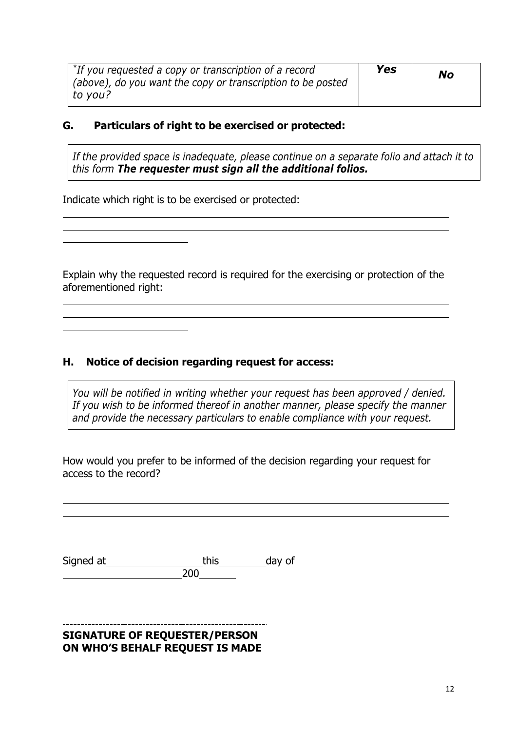| *If you requested a copy or transcription of a record<br>(above), do you want the copy or transcription to be posted | Yes | No |
|----------------------------------------------------------------------------------------------------------------------|-----|----|
| to vou?                                                                                                              |     |    |

### **G. Particulars of right to be exercised or protected:**

*If the provided space is inadequate, please continue on a separate folio and attach it to this form The requester must sign all the additional folios.*

Indicate which right is to be exercised or protected:

Explain why the requested record is required for the exercising or protection of the aforementioned right:

## **H. Notice of decision regarding request for access:**

*You will be notified in writing whether your request has been approved / denied. If you wish to be informed thereof in another manner, please specify the manner and provide the necessary particulars to enable compliance with your request.*

How would you prefer to be informed of the decision regarding your request for access to the record?

| Signed at | this | day of |
|-----------|------|--------|
|           | 200. |        |

#### **SIGNATURE OF REQUESTER/PERSON ON WHO'S BEHALF REQUEST IS MADE**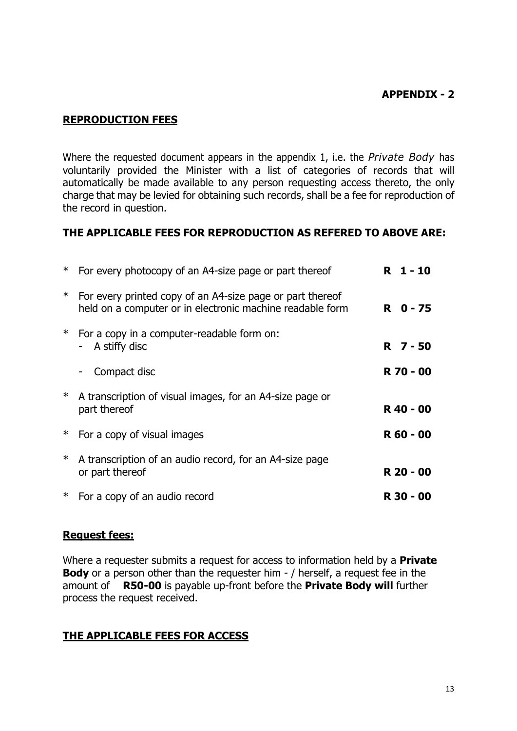#### **APPENDIX - 2**

#### **REPRODUCTION FEES**

Where the requested document appears in the appendix 1, i.e. the *Private Body* has voluntarily provided the Minister with a list of categories of records that will automatically be made available to any person requesting access thereto, the only charge that may be levied for obtaining such records, shall be a fee for reproduction of the record in question.

#### **THE APPLICABLE FEES FOR REPRODUCTION AS REFERED TO ABOVE ARE:**

|        | For every photocopy of an A4-size page or part thereof                                                                 | R 1-10    |  |
|--------|------------------------------------------------------------------------------------------------------------------------|-----------|--|
| $\ast$ | For every printed copy of an A4-size page or part thereof<br>held on a computer or in electronic machine readable form | R 0-75    |  |
|        | * For a copy in a computer-readable form on:<br>A stiffy disc<br>$\overline{\phantom{a}}$                              | R 7 - 50  |  |
|        | Compact disc                                                                                                           | R 70 - 00 |  |
| $\ast$ | A transcription of visual images, for an A4-size page or<br>part thereof                                               | R 40 - 00 |  |
| ∗      | For a copy of visual images                                                                                            | R 60 - 00 |  |
| $\ast$ | A transcription of an audio record, for an A4-size page<br>or part thereof                                             | R 20 - 00 |  |
| $\ast$ | For a copy of an audio record                                                                                          | R 30 - 00 |  |

#### **Request fees:**

Where a requester submits a request for access to information held by a **Private Body** or a person other than the requester him - / herself, a request fee in the amount of **R50-00** is payable up-front before the **Private Body will** further process the request received.

#### **THE APPLICABLE FEES FOR ACCESS**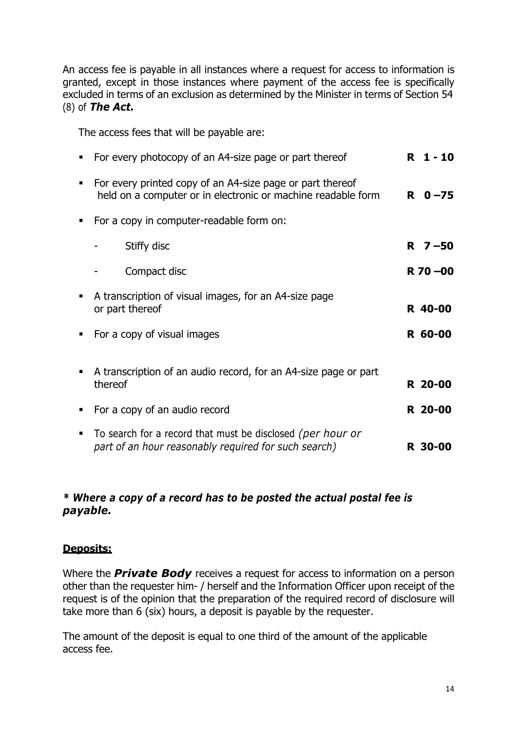An access fee is payable in all instances where a request for access to information is granted, except in those instances where payment of the access fee is specifically excluded in terms of an exclusion as determined by the Minister in terms of Section 54 (8) of *The Act.*

The access fees that will be payable are:

| For every photocopy of an A4-size page or part thereof                                                                    | R.<br>$1 - 10$ |
|---------------------------------------------------------------------------------------------------------------------------|----------------|
| For every printed copy of an A4-size page or part thereof<br>held on a computer or in electronic or machine readable form | $R = 0 - 75$   |
| For a copy in computer-readable form on:                                                                                  |                |
| Stiffy disc                                                                                                               | $R \t 7 - 50$  |
| Compact disc                                                                                                              | $R$ 70 $-00$   |
| A transcription of visual images, for an A4-size page<br>or part thereof                                                  | R 40-00        |
| For a copy of visual images                                                                                               | R 60-00        |
| A transcription of an audio record, for an A4-size page or part<br>thereof                                                | R 20-00        |
| For a copy of an audio record                                                                                             | R 20-00        |
| To search for a record that must be disclosed (per hour or<br>part of an hour reasonably required for such search)        | R 30-00        |
|                                                                                                                           |                |

## *\* Where a copy of a record has to be posted the actual postal fee is payable.*

#### **Deposits:**

Where the *Private Body* receives a request for access to information on a person other than the requester him- / herself and the Information Officer upon receipt of the request is of the opinion that the preparation of the required record of disclosure will take more than 6 (six) hours, a deposit is payable by the requester.

The amount of the deposit is equal to one third of the amount of the applicable access fee.